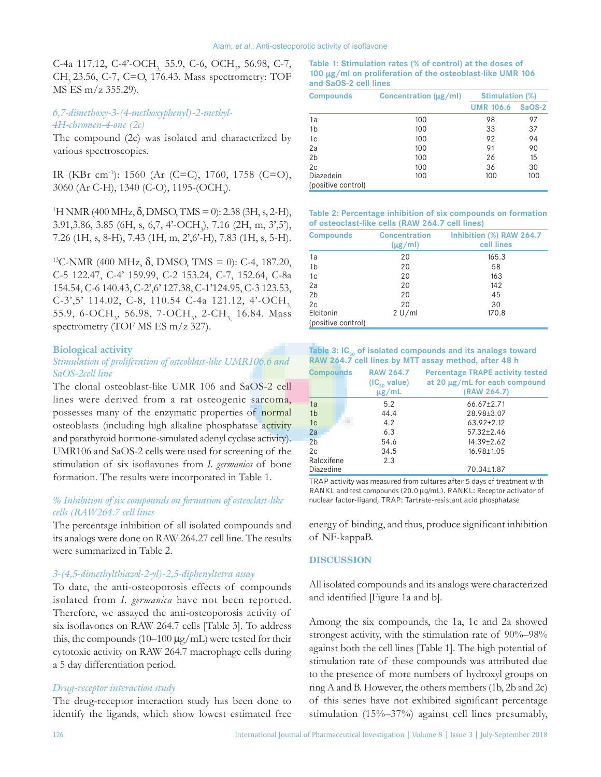C-4a 117.12, C-4'-OCH<sub>3,</sub> 55.9, C-6, OCH<sub>3</sub>, 56.98, C-7, CH<sub>2</sub> 23.56, C-7, C=O, 176.43. Mass spectrometry: TOF MS ES m/z 355.29).

# *6,7‑dimethoxy‑3‑(4‑methoxyphenyl)-2‑methyl-4H‑chromen‑4‑one (2c)*

The compound (2c) was isolated and characterized by various spectroscopies.

IR (KBr cm-1 ): 1560 (Ar (C=C), 1760, 1758 (C=O), 3060 (Ar C-H), 1340 (C-O), 1195-(OCH<sub>3</sub>).

<sup>1</sup>H NMR (400 MHz, δ, DMSO, TMS = 0): 2.38 (3H, s, 2-H), 3.91,3.86, 3.85 (6H, s, 6,7, 4'-OCH<sub>3</sub>), 7.16 (2H, m, 3',5'), 7.26 (1H, s, 8-H), 7.43 (1H, m, 2',6'-H), 7.83 (1H, s, 5-H).

<sup>13</sup>C-NMR (400 MHz, δ, DMSO, TMS = 0): C-4, 187.20, C-5 122.47, C-4' 159.99, C-2 153.24, C-7, 152.64, C-8a 154.54, C-6 140.43, C-2',6' 127.38, C-1'124.95, C-3 123.53, C-3',5' 114.02, C-8, 110.54 C-4a 121.12, 4'-OCH, 55.9, 6-OCH<sub>3</sub>, 56.98, 7-OCH<sub>3</sub>, 2-CH<sub>3,</sub> 16.84. Mass spectrometry (TOF MS ES m/z 327).

### **Biological activity**

# *Stimulation of proliferation of osteoblast‑like UMR106.6 and SaOS‑2cell line*

The clonal osteoblast-like UMR 106 and SaOS-2 cell lines were derived from a rat osteogenic sarcoma, possesses many of the enzymatic properties of normal osteoblasts (including high alkaline phosphatase activity and parathyroid hormone-simulated adenyl cyclase activity). UMR106 and SaOS-2 cells were used for screening of the stimulation of six isoflavones from *I. germanica* of bone formation. The results were incorporated in Table 1.

# *% Inhibition of six compounds on formation of osteoclast‑like cells (RAW264.7 cell lines*

The percentage inhibition of all isolated compounds and its analogs were done on RAW 264.27 cell line. The results were summarized in Table 2.

#### *3‑(4,5‑dimethylthiazol‑2‑yl)‑2,5‑diphenyltetra assay*

To date, the anti-osteoporosis effects of compounds isolated from *I. germanica* have not been reported. Therefore, we assayed the anti-osteoporosis activity of six isoflavones on RAW 264.7 cells [Table 3]. To address this, the compounds  $(10-100 \mu g/mL)$  were tested for their cytotoxic activity on RAW 264.7 macrophage cells during a 5 day differentiation period.

#### *Drug‑receptor interaction study*

The drug-receptor interaction study has been done to identify the ligands, which show lowest estimated free

**Table 1: Stimulation rates (% of control) at the doses of 100** µ**g/ml on proliferation of the osteoblast‑like UMR 106 and SaOS‑2 cell lines**

| Concentration (µg/ml) | <b>Stimulation (%)</b> |               |
|-----------------------|------------------------|---------------|
|                       | <b>UMR 106.6</b>       | <b>SaOS-2</b> |
| 100                   | 98                     | 97            |
| 100                   | 33                     | 37            |
| 100                   | 92                     | 94            |
| 100                   | 91                     | 90            |
| 100                   | 26                     | 15            |
| 100                   | 36                     | 30            |
| 100                   | 100                    | 100           |
|                       |                        |               |
|                       |                        |               |

**Table 2: Percentage inhibition of six compounds on formation of osteoclast‑like cells (RAW 264.7 cell lines)**

| <b>Compounds</b>                | <b>Concentration</b><br>$(\mu g/ml)$ | Inhibition (%) RAW 264.7<br>cell lines |
|---------------------------------|--------------------------------------|----------------------------------------|
| 1a                              | 20                                   | 165.3                                  |
| 1 <sub>b</sub>                  | 20                                   | 58                                     |
| 1 <sub>c</sub>                  | 20                                   | 163                                    |
| 2a                              | 20                                   | 142                                    |
| 2 <sub>b</sub>                  | 20                                   | 45                                     |
| 2c                              | 20                                   | 30                                     |
| Elcitonin<br>(positive control) | 2 U/ml                               | 170.8                                  |

| Table 3: IC <sub>50</sub> of isolated compounds and its analogs toward |
|------------------------------------------------------------------------|
| RAW 264.7 cell lines by MTT assay method, after 48 h                   |

| <b>Compounds</b> | <b>RAW 264.7</b><br>$(IC_{50}$ value)<br>$\mu$ g/mL | <b>Percentage TRAPE activity tested</b><br>at 20 µg/mL for each compound<br>(RAW 264.7) |
|------------------|-----------------------------------------------------|-----------------------------------------------------------------------------------------|
| 1a               | 5.2                                                 | $66.67 \pm 2.71$                                                                        |
| 1 <sub>b</sub>   | 44.4                                                | 28.98±3.07                                                                              |
| 1 <sub>c</sub>   | 4.2                                                 | $63.92 \pm 2.12$                                                                        |
| 2a               | 6.3                                                 | $57.32 \pm 2.46$                                                                        |
| 2 <sub>b</sub>   | 54.6                                                | 14.39±2.62                                                                              |
| 2c               | 34.5                                                | $16.98 \pm 1.05$                                                                        |
| Raloxifene       | 2.3                                                 |                                                                                         |
| Diazedine        |                                                     | 70.34±1.87                                                                              |

TRAP activity was measured from cultures after 5 days of treatment with RANKL and test compounds (20.0 µg/mL). RANKL: Receptor activator of nuclear factor‑ligand, TRAP: Tartrate‑resistant acid phosphatase

energy of binding, and thus, produce significant inhibition of NF-kappaB.

#### **DISCUSSION**

All isolated compounds and its analogs were characterized and identified [Figure 1a and b].

Among the six compounds, the 1a, 1c and 2a showed strongest activity, with the stimulation rate of 90%–98% against both the cell lines [Table 1]. The high potential of stimulation rate of these compounds was attributed due to the presence of more numbers of hydroxyl groups on ring A and B. However, the others members (1b, 2b and 2c) of this series have not exhibited significant percentage stimulation (15%–37%) against cell lines presumably,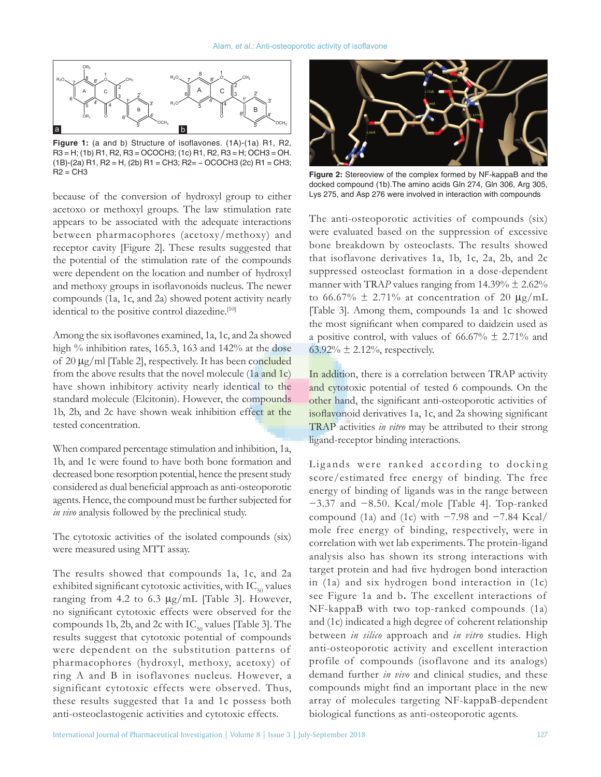

**Figure 1:** (a and b) Structure of isoflavones. (1A)‑(1a) R1, R2, R3 = H; (1b) R1, R2, R3 = OCOCH3; (1c) R1, R2, R3 = H; OCH3 = OH. (1B)‑(2a) R1, R2 = H, (2b) R1 = CH3; R2= − OCOCH3 (2c) R1 = CH3;  $R2 = CH3$ 

because of the conversion of hydroxyl group to either acetoxo or methoxyl groups. The law stimulation rate appears to be associated with the adequate interactions between pharmacophores (acetoxy/methoxy) and receptor cavity [Figure 2]. These results suggested that the potential of the stimulation rate of the compounds were dependent on the location and number of hydroxyl and methoxy groups in isoflavonoids nucleus. The newer compounds (1a, 1c, and 2a) showed potent activity nearly identical to the positive control diazedine.<sup>[10]</sup>

Among the six isoflavones examined, 1a, 1c, and 2a showed high % inhibition rates, 165.3, 163 and 142% at the dose of 20 µg/ml [Table 2], respectively. It has been concluded from the above results that the novel molecule (1a and 1c) have shown inhibitory activity nearly identical to the standard molecule (Elcitonin). However, the compounds 1b, 2b, and 2c have shown weak inhibition effect at the tested concentration.

When compared percentage stimulation and inhibition, 1a, 1b, and 1c were found to have both bone formation and decreased bone resorption potential, hence the present study considered as dual beneficial approach as anti‑osteoporotic agents. Hence, the compound must be further subjected for *in vivo* analysis followed by the preclinical study.

The cytotoxic activities of the isolated compounds (six) were measured using MTT assay.

The results showed that compounds 1a, 1c, and 2a exhibited significant cytotoxic activities, with  $IC_{50}$  values ranging from 4.2 to 6.3  $\mu$ g/mL [Table 3]. However, no significant cytotoxic effects were observed for the compounds 1b, 2b, and 2c with  $IC_{50}$  values [Table 3]. The results suggest that cytotoxic potential of compounds were dependent on the substitution patterns of pharmacophores (hydroxyl, methoxy, acetoxy) of ring A and B in isoflavones nucleus. However, a significant cytotoxic effects were observed. Thus, these results suggested that 1a and 1c possess both anti-osteoclastogenic activities and cytotoxic effects.



**Figure 2:** Stereoview of the complex formed by NF‑kappaB and the docked compound (1b).The amino acids Gln 274, Gln 306, Arg 305, Lys 275, and Asp 276 were involved in interaction with compounds

The anti-osteoporotic activities of compounds (six) were evaluated based on the suppression of excessive bone breakdown by osteoclasts. The results showed that isoflavone derivatives 1a, 1b, 1c, 2a, 2b, and 2c suppressed osteoclast formation in a dose-dependent manner with TRAP values ranging from  $14.39\% \pm 2.62\%$ to 66.67%  $\pm$  2.71% at concentration of 20  $\mu$ g/mL [Table 3]. Among them, compounds 1a and 1c showed the most significant when compared to daidzein used as a positive control, with values of  $66.67\% \pm 2.71\%$  and 63.92%  $\pm$  2.12%, respectively.

In addition, there is a correlation between TRAP activity and cytotoxic potential of tested 6 compounds. On the other hand, the significant anti‑osteoporotic activities of isoflavonoid derivatives 1a, 1c, and 2a showing significant TRAP activities *in vitro* may be attributed to their strong ligand-receptor binding interactions.

Lig ands were ranked according to docking score/estimated free energy of binding. The free energy of binding of ligands was in the range between −3.37 and −8.50. Kcal/mole [Table 4]. Top-ranked compound (1a) and (1c) with −7.98 and −7.84 Kcal/ mole free energy of binding, respectively, were in correlation with wet lab experiments. The protein-ligand analysis also has shown its strong interactions with target protein and had five hydrogen bond interaction in (1a) and six hydrogen bond interaction in (1c) see Figure 1a and b**.** The excellent interactions of NF-kappaB with two top-ranked compounds (1a) and (1c) indicated a high degree of coherent relationship between *in silico* approach and *in vitro* studies. High anti-osteoporotic activity and excellent interaction profile of compounds (isoflavone and its analogs) demand further *in vivo* and clinical studies, and these compounds might find an important place in the new array of molecules targeting NF-kappaB-dependent biological functions as anti-osteoporotic agents.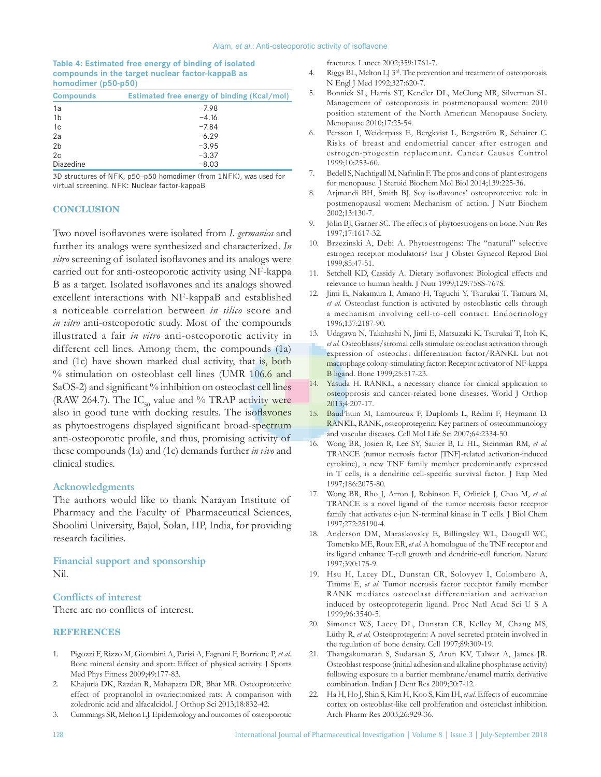### **Table 4: Estimated free energy of binding of isolated compounds in the target nuclear factor‑kappaB as homodimer (p50‑p50)**

| <b>Compounds</b> | Estimated free energy of binding (Kcal/mol) |
|------------------|---------------------------------------------|
| 1a               | $-7.98$                                     |
| 1 <sub>b</sub>   | $-4.16$                                     |
| 1 <sub>c</sub>   | $-7.84$                                     |
| 2a               | $-6.29$                                     |
| 2 <sub>b</sub>   | $-3.95$                                     |
| 2c               | $-3.37$                                     |
| Diazedine        | $-8.03$                                     |

3D structures of NFK, p50–p50 homodimer (from 1NFK), was used for virtual screening. NFK: Nuclear factor‑kappaB

#### **CONCLUSION**

Two novel isoflavones were isolated from *I. germanica* and further its analogs were synthesized and characterized. *In vitro* screening of isolated isoflavones and its analogs were carried out for anti-osteoporotic activity using NF-kappa B as a target. Isolated isoflavones and its analogs showed excellent interactions with NF-kappaB and established a noticeable correlation between *in silico* score and *in vitro* anti-osteoporotic study. Most of the compounds illustrated a fair *in vitro* anti-osteoporotic activity in different cell lines. Among them, the compounds (1a) and (1c) have shown marked dual activity, that is, both % stimulation on osteoblast cell lines (UMR 106.6 and SaOS-2) and significant % inhibition on osteoclast cell lines (RAW 264.7). The  $IC_{50}$  value and % TRAP activity were also in good tune with docking results. The isoflavones as phytoestrogens displayed significant broad-spectrum anti‑osteoporotic profile, and thus, promising activity of these compounds (1a) and (1c) demands further *in vivo* and clinical studies.

### **Acknowledgments**

The authors would like to thank Narayan Institute of Pharmacy and the Faculty of Pharmaceutical Sciences, Shoolini University, Bajol, Solan, HP, India, for providing research facilities.

# **Financial support and sponsorship** Nil.

# **Conflicts of interest**

There are no conflicts of interest.

#### **REFERENCES**

- 1. Pigozzi F, Rizzo M, Giombini A, Parisi A, Fagnani F, Borrione P, *et al.* Bone mineral density and sport: Effect of physical activity. J Sports Med Phys Fitness 2009;49:177-83.
- 2. Khajuria DK, Razdan R, Mahapatra DR, Bhat MR. Osteoprotective effect of propranolol in ovariectomized rats: A comparison with zoledronic acid and alfacalcidol. J Orthop Sci 2013;18:832-42.
- 3. Cummings SR, Melton LJ. Epidemiology and outcomes of osteoporotic

fractures. Lancet 2002;359:1761-7.

- 4. Riggs BL, Melton LJ 3<sup>rd</sup>. The prevention and treatment of osteoporosis. N Engl J Med 1992;327:620-7.
- 5. Bonnick SL, Harris ST, Kendler DL, McClung MR, Silverman SL. Management of osteoporosis in postmenopausal women: 2010 position statement of the North American Menopause Society. Menopause 2010;17:25-54.
- 6. Persson I, Weiderpass E, Bergkvist L, Bergström R, Schairer C. Risks of breast and endometrial cancer after estrogen and estrogen-progestin replacement. Cancer Causes Control 1999;10:253-60.
- 7. Bedell S, Nachtigall M, Naftolin F. The pros and cons of plant estrogens for menopause. J Steroid Biochem Mol Biol 2014;139:225-36.
- 8. Arjmandi BH, Smith BJ. Soy isoflavones' osteoprotective role in postmenopausal women: Mechanism of action. J Nutr Biochem 2002;13:130-7.
- 9. John BJ, Garner SC. The effects of phytoestrogens on bone. Nutr Res 1997;17:1617-32.
- 10. Brzezinski A, Debi A. Phytoestrogens: The "natural" selective estrogen receptor modulators? Eur J Obstet Gynecol Reprod Biol 1999;85:47-51.
- 11. Setchell KD, Cassidy A. Dietary isoflavones: Biological effects and relevance to human health. J Nutr 1999;129:758S-767S.
- 12. Jimi E, Nakamura I, Amano H, Taguchi Y, Tsurukai T, Tamura M, *et al.* Osteoclast function is activated by osteoblastic cells through a mechanism involving cell-to-cell contact. Endocrinology 1996;137:2187-90.
- 13. Udagawa N, Takahashi N, Jimi E, Matsuzaki K, Tsurukai T, Itoh K, *et al.* Osteoblasts/stromal cells stimulate osteoclast activation through expression of osteoclast differentiation factor/RANKL but not macrophage colony-stimulating factor: Receptor activator of NF-kappa B ligand. Bone 1999;25:517-23.
- 14. Yasuda H. RANKL, a necessary chance for clinical application to osteoporosis and cancer-related bone diseases. World J Orthop 2013;4:207-17.
- 15. Baud'huin M, Lamoureux F, Duplomb L, Rédini F, Heymann D. RANKL, RANK, osteoprotegerin: Key partners of osteoimmunology and vascular diseases. Cell Mol Life Sci 2007;64:2334-50.
- 16. Wong BR, Josien R, Lee SY, Sauter B, Li HL, Steinman RM, *et al.* TRANCE (tumor necrosis factor [TNF]-related activation-induced cytokine), a new TNF family member predominantly expressed in T cells, is a dendritic cell‑specific survival factor. J Exp Med 1997;186:2075-80.
- 17. Wong BR, Rho J, Arron J, Robinson E, Orlinick J, Chao M, *et al.* TRANCE is a novel ligand of the tumor necrosis factor receptor family that activates c-jun N-terminal kinase in T cells. J Biol Chem 1997;272:25190-4.
- 18. Anderson DM, Maraskovsky E, Billingsley WL, Dougall WC, Tometsko ME, Roux ER, *et al.* A homologue of the TNF receptor and its ligand enhance T-cell growth and dendritic-cell function. Nature 1997;390:175-9.
- 19. Hsu H, Lacey DL, Dunstan CR, Solovyev I, Colombero A, Timms E, *et al.* Tumor necrosis factor receptor family member RANK mediates osteoclast differentiation and activation induced by osteoprotegerin ligand. Proc Natl Acad Sci U S A 1999;96:3540-5.
- 20. Simonet WS, Lacey DL, Dunstan CR, Kelley M, Chang MS, Lüthy R, *et al.* Osteoprotegerin: A novel secreted protein involved in the regulation of bone density. Cell 1997;89:309-19.
- 21. Thangakumaran S, Sudarsan S, Arun KV, Talwar A, James JR. Osteoblast response (initial adhesion and alkaline phosphatase activity) following exposure to a barrier membrane/enamel matrix derivative combination. Indian J Dent Res 2009;20:7-12.
- 22. Ha H, Ho J, Shin S, Kim H, Koo S, Kim IH, *et al.* Effects of eucommiae cortex on osteoblast-like cell proliferation and osteoclast inhibition. Arch Pharm Res 2003;26:929-36.